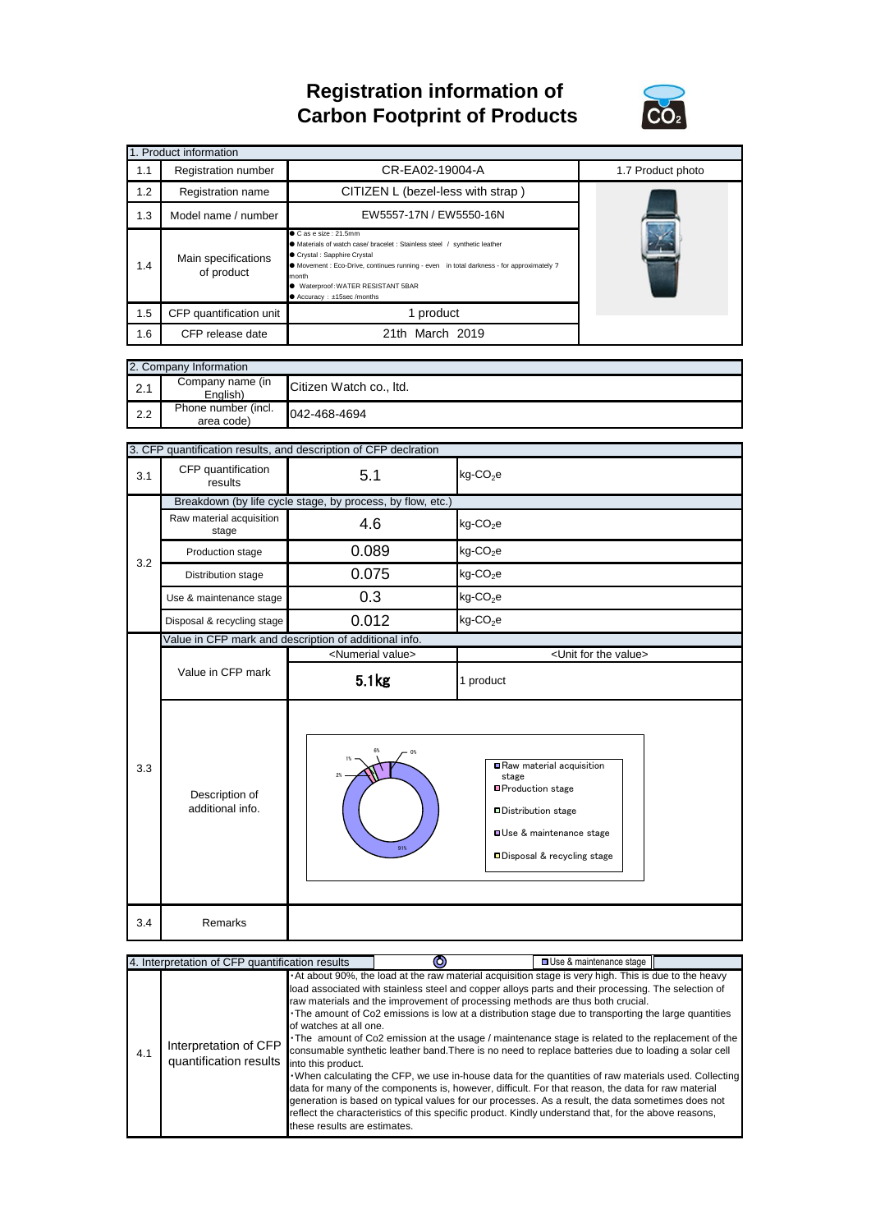## **Registration information of Carbon Footprint of Products**



|     | 1. Product information                                                                                                                                                                                                                                                                                                                      |                                   |                   |
|-----|---------------------------------------------------------------------------------------------------------------------------------------------------------------------------------------------------------------------------------------------------------------------------------------------------------------------------------------------|-----------------------------------|-------------------|
| 1.1 | Registration number                                                                                                                                                                                                                                                                                                                         | CR-EA02-19004-A                   | 1.7 Product photo |
| 1.2 | Registration name                                                                                                                                                                                                                                                                                                                           | CITIZEN L (bezel-less with strap) |                   |
| 1.3 | Model name / number                                                                                                                                                                                                                                                                                                                         |                                   |                   |
| 1.4 | Case size: 21.5mm<br>● Materials of watch case/ bracelet : Stainless steel / synthetic leather<br>● Crystal: Sapphire Crystal<br>Main specifications<br>• Movement : Eco-Drive, continues running - even in total darkness - for approximately 7<br>of product<br>month<br>● Waterproof: WATER RESISTANT 5BAR<br>● Accuracy: ±15sec /months |                                   |                   |
| 1.5 | CFP quantification unit                                                                                                                                                                                                                                                                                                                     | 1 product                         |                   |
| 1.6 | CFP release date                                                                                                                                                                                                                                                                                                                            | 21th March 2019                   |                   |

| 2. Company Information |                                   |                         |  |
|------------------------|-----------------------------------|-------------------------|--|
| 2.1                    | Company name (in<br>English)      | Citizen Watch co., Itd. |  |
| 2.2                    | Phone number (incl.<br>area code) | 042-468-4694            |  |

|     | 3. CFP quantification results, and description of CFP declration |                                |                                                                                                                                                            |  |  |
|-----|------------------------------------------------------------------|--------------------------------|------------------------------------------------------------------------------------------------------------------------------------------------------------|--|--|
| 3.1 | CFP quantification<br>results                                    | 5.1                            | $kg$ -CO <sub>2</sub> e                                                                                                                                    |  |  |
|     | Breakdown (by life cycle stage, by process, by flow, etc.)       |                                |                                                                                                                                                            |  |  |
| 3.2 | Raw material acquisition<br>stage                                | 4.6                            | $kg$ -CO <sub>2</sub> e                                                                                                                                    |  |  |
|     | Production stage                                                 | 0.089                          | kg-CO <sub>2</sub> e                                                                                                                                       |  |  |
|     | Distribution stage                                               | 0.075                          | $kg$ -CO <sub>2</sub> e                                                                                                                                    |  |  |
|     | Use & maintenance stage                                          | 0.3                            | $kg$ -CO <sub>2</sub> e                                                                                                                                    |  |  |
|     | Disposal & recycling stage                                       | 0.012                          | $kg$ -CO <sub>2</sub> e                                                                                                                                    |  |  |
|     | Value in CFP mark and description of additional info.            |                                |                                                                                                                                                            |  |  |
|     |                                                                  | <numerial value=""></numerial> | <unit for="" the="" value=""></unit>                                                                                                                       |  |  |
|     | Value in CFP mark                                                | 5.1 <sub>kg</sub>              | 1 product                                                                                                                                                  |  |  |
| 3.3 | Description of<br>additional info.                               | 2%<br>91%                      | Raw material acquisition<br>stage<br>■Production stage<br><b>□Distribution stage</b><br><b>OUse &amp; maintenance stage</b><br>□Disposal & recycling stage |  |  |
| 3.4 | Remarks                                                          |                                |                                                                                                                                                            |  |  |

| 4. Interpretation of CFP quantification results |                                                 |                                                                              | <b>□ Use &amp; maintenance stage</b>                                                                                                                                                                                                                                                                                                                                                                                                                                                                                                                                                                                                                                                                                                                                                                                                                                                                                                                                                                                                          |  |  |
|-------------------------------------------------|-------------------------------------------------|------------------------------------------------------------------------------|-----------------------------------------------------------------------------------------------------------------------------------------------------------------------------------------------------------------------------------------------------------------------------------------------------------------------------------------------------------------------------------------------------------------------------------------------------------------------------------------------------------------------------------------------------------------------------------------------------------------------------------------------------------------------------------------------------------------------------------------------------------------------------------------------------------------------------------------------------------------------------------------------------------------------------------------------------------------------------------------------------------------------------------------------|--|--|
| 4.1                                             | Interpretation of CFP<br>quantification results | of watches at all one.<br>into this product.<br>these results are estimates. | . At about 90%, the load at the raw material acquisition stage is very high. This is due to the heavy<br>load associated with stainless steel and copper alloys parts and their processing. The selection of<br>raw materials and the improvement of processing methods are thus both crucial.<br>The amount of Co2 emissions is low at a distribution stage due to transporting the large quantities<br>The amount of Co2 emission at the usage / maintenance stage is related to the replacement of the<br>consumable synthetic leather band. There is no need to replace batteries due to loading a solar cell<br>. When calculating the CFP, we use in-house data for the quantities of raw materials used. Collecting<br>data for many of the components is, however, difficult. For that reason, the data for raw material<br>generation is based on typical values for our processes. As a result, the data sometimes does not<br>reflect the characteristics of this specific product. Kindly understand that, for the above reasons, |  |  |